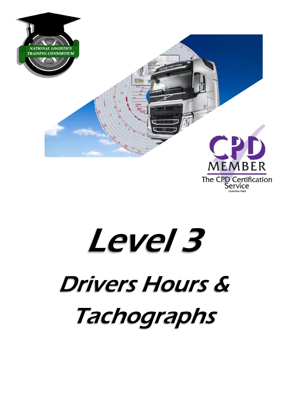

# Level 3 Drivers Hours & Tachographs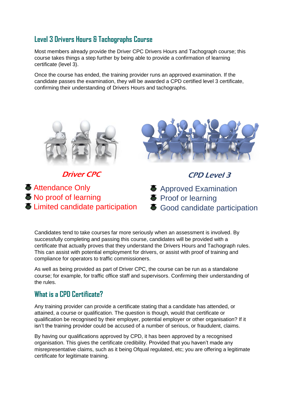## **Level 3 Drivers Hours & Tachographs Course**

Most members already provide the Driver CPC Drivers Hours and Tachograph course; this course takes things a step further by being able to provide a confirmation of learning certificate (level 3).

Once the course has ended, the training provider runs an approved examination. If the candidate passes the examination, they will be awarded a CPD certified level 3 certificate, confirming their understanding of Drivers Hours and tachographs.



Driver CPC

Attendance Only No proof of learning Limited candidate participation



CPD Level 3

Approved Examination

**● Proof or learning** 

Good candidate participation

Candidates tend to take courses far more seriously when an assessment is involved. By successfully completing and passing this course, candidates will be provided with a certificate that actually proves that they understand the Drivers Hours and Tachograph rules. This can assist with potential employment for drivers, or assist with proof of training and compliance for operators to traffic commissioners.

As well as being provided as part of Driver CPC, the course can be run as a standalone course; for example, for traffic office staff and supervisors. Confirming their understanding of the rules.

#### **What is a CPD Certificate?**

Any training provider can provide a certificate stating that a candidate has attended, or attained, a course or qualification. The question is though, would that certificate or qualification be recognised by their employer, potential employer or other organisation? If it isn't the training provider could be accused of a number of serious, or fraudulent, claims.

By having our qualifications approved by CPD, it has been approved by a recognised organisation. This gives the certificate credibility. Provided that you haven't made any misrepresentative claims, such as it being Ofqual regulated, etc; you are offering a legitimate certificate for legitimate training.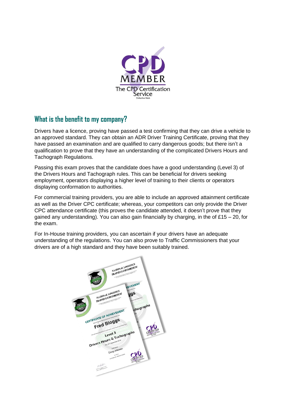

## **What is the benefit to my company?**

Drivers have a licence, proving have passed a test confirming that they can drive a vehicle to an approved standard. They can obtain an ADR Driver Training Certificate, proving that they have passed an examination and are qualified to carry dangerous goods; but there isn't a qualification to prove that they have an understanding of the complicated Drivers Hours and Tachograph Regulations.

Passing this exam proves that the candidate does have a good understanding (Level 3) of the Drivers Hours and Tachograph rules. This can be beneficial for drivers seeking employment, operators displaying a higher level of training to their clients or operators displaying conformation to authorities.

For commercial training providers, you are able to include an approved attainment certificate as well as the Driver CPC certificate; whereas, your competitors can only provide the Driver CPC attendance certificate (this proves the candidate attended, it doesn't prove that they gained any understanding). You can also gain financially by charging, in the of £15 – 20, for the exam.

For In-House training providers, you can ascertain if your drivers have an adequate understanding of the regulations. You can also prove to Traffic Commissioners that your drivers are of a high standard and they have been suitably trained.